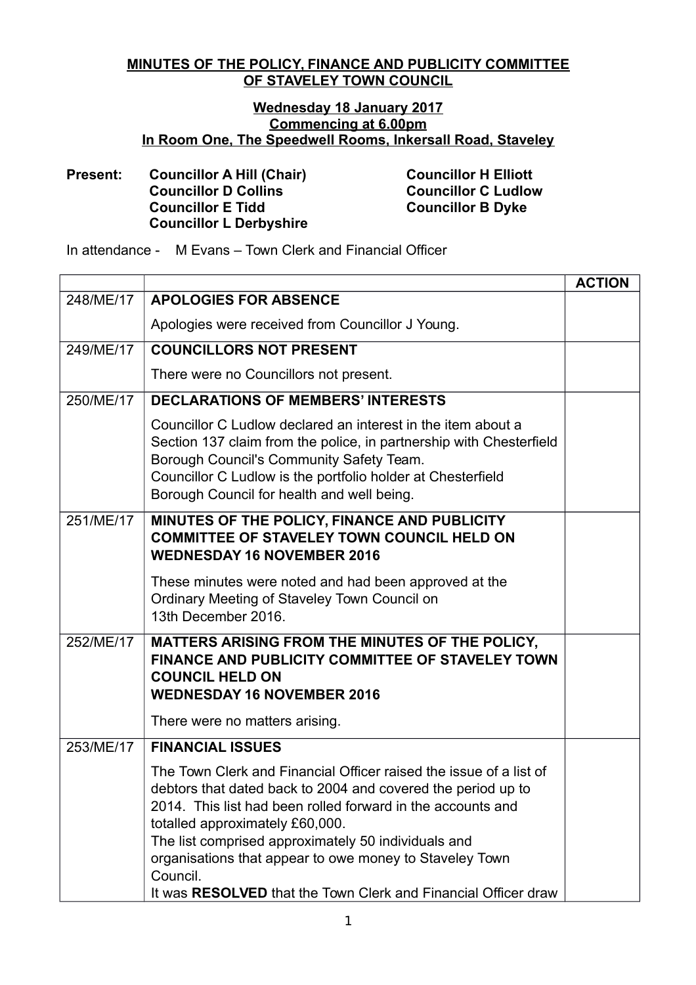## **MINUTES OF THE POLICY, FINANCE AND PUBLICITY COMMITTEE OF STAVELEY TOWN COUNCIL**

## **Wednesday 18 January 2017 Commencing at 6.00pm In Room One, The Speedwell Rooms, Inkersall Road, Staveley**

## **Present: Councillor A Hill (Chair) Councillor H Elliott Councillor D Collins Councillor C Ludlow Councillor E Tidd Councillor B Dyke Councillor L Derbyshire**

In attendance - M Evans – Town Clerk and Financial Officer

|           |                                                                                                                                                                                                                                                                                                                                                                    | <b>ACTION</b> |
|-----------|--------------------------------------------------------------------------------------------------------------------------------------------------------------------------------------------------------------------------------------------------------------------------------------------------------------------------------------------------------------------|---------------|
| 248/ME/17 | <b>APOLOGIES FOR ABSENCE</b>                                                                                                                                                                                                                                                                                                                                       |               |
|           | Apologies were received from Councillor J Young.                                                                                                                                                                                                                                                                                                                   |               |
| 249/ME/17 | <b>COUNCILLORS NOT PRESENT</b>                                                                                                                                                                                                                                                                                                                                     |               |
|           | There were no Councillors not present.                                                                                                                                                                                                                                                                                                                             |               |
| 250/ME/17 | <b>DECLARATIONS OF MEMBERS' INTERESTS</b>                                                                                                                                                                                                                                                                                                                          |               |
|           | Councillor C Ludlow declared an interest in the item about a<br>Section 137 claim from the police, in partnership with Chesterfield<br>Borough Council's Community Safety Team.<br>Councillor C Ludlow is the portfolio holder at Chesterfield<br>Borough Council for health and well being.                                                                       |               |
| 251/ME/17 | MINUTES OF THE POLICY, FINANCE AND PUBLICITY<br><b>COMMITTEE OF STAVELEY TOWN COUNCIL HELD ON</b><br><b>WEDNESDAY 16 NOVEMBER 2016</b>                                                                                                                                                                                                                             |               |
|           | These minutes were noted and had been approved at the<br>Ordinary Meeting of Staveley Town Council on<br>13th December 2016.                                                                                                                                                                                                                                       |               |
| 252/ME/17 | MATTERS ARISING FROM THE MINUTES OF THE POLICY,<br>FINANCE AND PUBLICITY COMMITTEE OF STAVELEY TOWN<br><b>COUNCIL HELD ON</b><br><b>WEDNESDAY 16 NOVEMBER 2016</b>                                                                                                                                                                                                 |               |
|           | There were no matters arising.                                                                                                                                                                                                                                                                                                                                     |               |
| 253/ME/17 | <b>FINANCIAL ISSUES</b>                                                                                                                                                                                                                                                                                                                                            |               |
|           | The Town Clerk and Financial Officer raised the issue of a list of<br>debtors that dated back to 2004 and covered the period up to<br>2014. This list had been rolled forward in the accounts and<br>totalled approximately £60,000.<br>The list comprised approximately 50 individuals and<br>organisations that appear to owe money to Staveley Town<br>Council. |               |
|           | It was RESOLVED that the Town Clerk and Financial Officer draw                                                                                                                                                                                                                                                                                                     |               |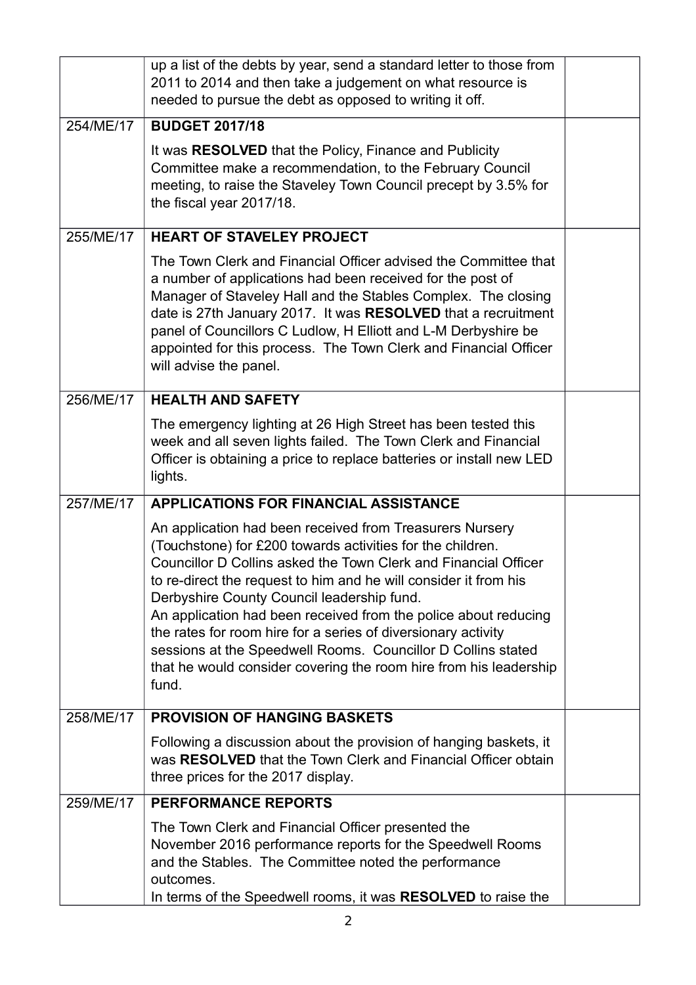|           | up a list of the debts by year, send a standard letter to those from<br>2011 to 2014 and then take a judgement on what resource is<br>needed to pursue the debt as opposed to writing it off.                                                                                                                                                                                                                                                                                                                                                                                                 |  |
|-----------|-----------------------------------------------------------------------------------------------------------------------------------------------------------------------------------------------------------------------------------------------------------------------------------------------------------------------------------------------------------------------------------------------------------------------------------------------------------------------------------------------------------------------------------------------------------------------------------------------|--|
| 254/ME/17 | <b>BUDGET 2017/18</b>                                                                                                                                                                                                                                                                                                                                                                                                                                                                                                                                                                         |  |
|           | It was RESOLVED that the Policy, Finance and Publicity<br>Committee make a recommendation, to the February Council<br>meeting, to raise the Staveley Town Council precept by 3.5% for<br>the fiscal year 2017/18.                                                                                                                                                                                                                                                                                                                                                                             |  |
| 255/ME/17 | <b>HEART OF STAVELEY PROJECT</b>                                                                                                                                                                                                                                                                                                                                                                                                                                                                                                                                                              |  |
|           | The Town Clerk and Financial Officer advised the Committee that<br>a number of applications had been received for the post of<br>Manager of Staveley Hall and the Stables Complex. The closing<br>date is 27th January 2017. It was RESOLVED that a recruitment<br>panel of Councillors C Ludlow, H Elliott and L-M Derbyshire be<br>appointed for this process. The Town Clerk and Financial Officer<br>will advise the panel.                                                                                                                                                               |  |
| 256/ME/17 | <b>HEALTH AND SAFETY</b>                                                                                                                                                                                                                                                                                                                                                                                                                                                                                                                                                                      |  |
|           | The emergency lighting at 26 High Street has been tested this<br>week and all seven lights failed. The Town Clerk and Financial<br>Officer is obtaining a price to replace batteries or install new LED<br>lights.                                                                                                                                                                                                                                                                                                                                                                            |  |
| 257/ME/17 | <b>APPLICATIONS FOR FINANCIAL ASSISTANCE</b>                                                                                                                                                                                                                                                                                                                                                                                                                                                                                                                                                  |  |
|           | An application had been received from Treasurers Nursery<br>(Touchstone) for £200 towards activities for the children.<br>Councillor D Collins asked the Town Clerk and Financial Officer<br>to re-direct the request to him and he will consider it from his<br>Derbyshire County Council leadership fund.<br>An application had been received from the police about reducing<br>the rates for room hire for a series of diversionary activity<br>sessions at the Speedwell Rooms. Councillor D Collins stated<br>that he would consider covering the room hire from his leadership<br>fund. |  |
| 258/ME/17 | <b>PROVISION OF HANGING BASKETS</b>                                                                                                                                                                                                                                                                                                                                                                                                                                                                                                                                                           |  |
|           | Following a discussion about the provision of hanging baskets, it<br>was RESOLVED that the Town Clerk and Financial Officer obtain<br>three prices for the 2017 display.                                                                                                                                                                                                                                                                                                                                                                                                                      |  |
| 259/ME/17 | <b>PERFORMANCE REPORTS</b>                                                                                                                                                                                                                                                                                                                                                                                                                                                                                                                                                                    |  |
|           | The Town Clerk and Financial Officer presented the<br>November 2016 performance reports for the Speedwell Rooms<br>and the Stables. The Committee noted the performance<br>outcomes.<br>In terms of the Speedwell rooms, it was RESOLVED to raise the                                                                                                                                                                                                                                                                                                                                         |  |